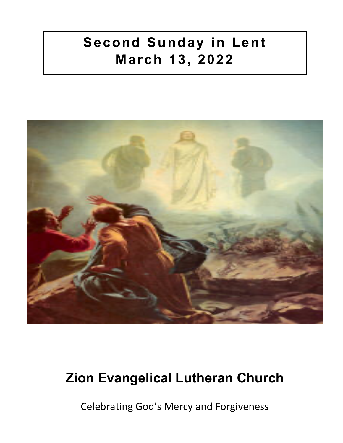# **Second Sunday in Lent March 13, 2022**



# **Zion Evangelical Lutheran Church**

Celebrating God's Mercy and Forgiveness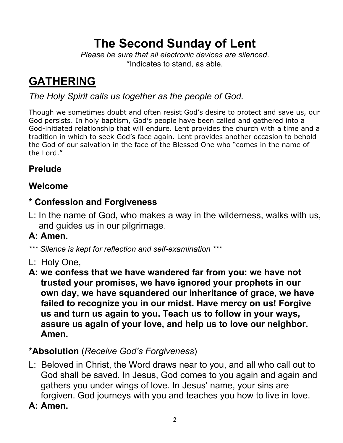# **The Second Sunday of Lent**

*Please be sure that all electronic devices are silenced*. \*Indicates to stand, as able.

# **GATHERING**

## *The Holy Spirit calls us together as the people of God.*

Though we sometimes doubt and often resist God's desire to protect and save us, our God persists. In holy baptism, God's people have been called and gathered into a God-initiated relationship that will endure. Lent provides the church with a time and a tradition in which to seek God's face again. Lent provides another occasion to behold the God of our salvation in the face of the Blessed One who "comes in the name of the Lord."

# **Prelude**

## **Welcome**

## **\* Confession and Forgiveness**

L: In the name of God, who makes a way in the wilderness, walks with us, and guides us in our pilgrimage.

# **A: Amen.**

- *\*\*\* Silence is kept for reflection and self-examination \*\*\**
- L: Holy One,
- **A: we confess that we have wandered far from you: we have not trusted your promises, we have ignored your prophets in our own day, we have squandered our inheritance of grace, we have failed to recognize you in our midst. Have mercy on us! Forgive us and turn us again to you. Teach us to follow in your ways, assure us again of your love, and help us to love our neighbor. Amen.**

# **\*Absolution** (*Receive God's Forgiveness*)

- L: Beloved in Christ, the Word draws near to you, and all who call out to God shall be saved. In Jesus, God comes to you again and again and gathers you under wings of love. In Jesus' name, your sins are forgiven. God journeys with you and teaches you how to live in love.
- **A: Amen.**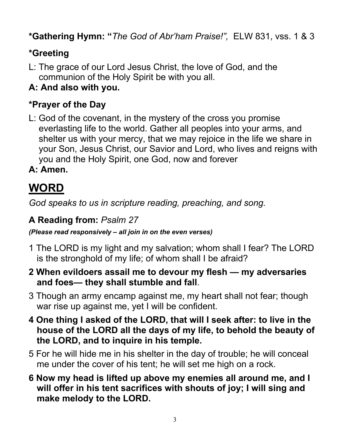**\*Gathering Hymn: "***The God of Abr'ham Praise!",* ELW 831, vss. 1 & 3

# **\*Greeting**

- L: The grace of our Lord Jesus Christ, the love of God, and the communion of the Holy Spirit be with you all.
- **A: And also with you.**

## **\*Prayer of the Day**

L: God of the covenant, in the mystery of the cross you promise everlasting life to the world. Gather all peoples into your arms, and shelter us with your mercy, that we may rejoice in the life we share in your Son, Jesus Christ, our Savior and Lord, who lives and reigns with you and the Holy Spirit, one God, now and forever

**A: Amen.**

# **WORD**

*God speaks to us in scripture reading, preaching, and song.*

## **A Reading from:** *Psalm 27*

*(Please read responsively – all join in on the even verses)*

- 1 The LORD is my light and my salvation; whom shall I fear? The LORD is the stronghold of my life; of whom shall I be afraid?
- **2 When evildoers assail me to devour my flesh — my adversaries and foes— they shall stumble and fall**.
- 3 Though an army encamp against me, my heart shall not fear; though war rise up against me, yet I will be confident.
- **4 One thing I asked of the LORD, that will I seek after: to live in the house of the LORD all the days of my life, to behold the beauty of the LORD, and to inquire in his temple.**
- 5 For he will hide me in his shelter in the day of trouble; he will conceal me under the cover of his tent; he will set me high on a rock.
- **6 Now my head is lifted up above my enemies all around me, and I will offer in his tent sacrifices with shouts of joy; I will sing and make melody to the LORD.**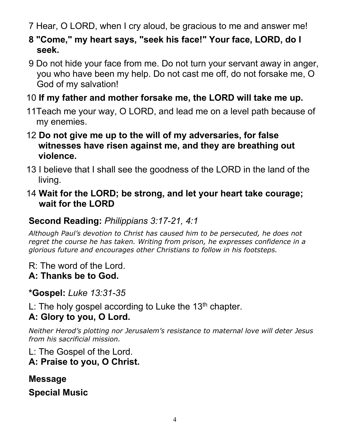7 Hear, O LORD, when I cry aloud, be gracious to me and answer me!

- **8 "Come," my heart says, "seek his face!" Your face, LORD, do I seek.**
- 9 Do not hide your face from me. Do not turn your servant away in anger, you who have been my help. Do not cast me off, do not forsake me, O God of my salvation!

## 10 **If my father and mother forsake me, the LORD will take me up.**

- 11Teach me your way, O LORD, and lead me on a level path because of my enemies.
- 12 **Do not give me up to the will of my adversaries, for false witnesses have risen against me, and they are breathing out violence.**
- 13 I believe that I shall see the goodness of the LORD in the land of the living.
- 14 **Wait for the LORD; be strong, and let your heart take courage; wait for the LORD**

## **Second Reading:** *Philippians 3:17-21, 4:1*

*Although Paul's devotion to Christ has caused him to be persecuted, he does not regret the course he has taken. Writing from prison, he expresses confidence in a glorious future and encourages other Christians to follow in his footsteps.*

R: The word of the Lord.

## **A: Thanks be to God.**

**\*Gospel:** *Luke 13:31-35*

L: The holy gospel according to Luke the 13<sup>th</sup> chapter.

# **A: Glory to you, O Lord.**

*Neither Herod's plotting nor Jerusalem's resistance to maternal love will deter Jesus from his sacrificial mission.*

L: The Gospel of the Lord.

**A: Praise to you, O Christ.**

**Message Special Music**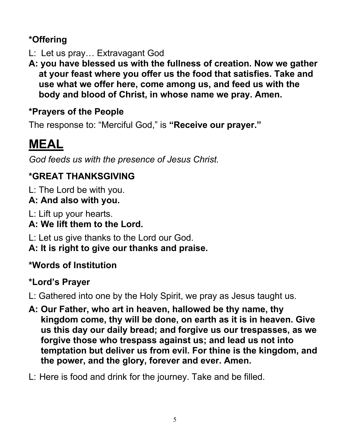# **\*Offering**

- L: Let us pray… Extravagant God
- **A: you have blessed us with the fullness of creation. Now we gather at your feast where you offer us the food that satisfies. Take and use what we offer here, come among us, and feed us with the body and blood of Christ, in whose name we pray. Amen.**

## **\*Prayers of the People**

The response to: "Merciful God," is **"Receive our prayer."**

# **MEAL**

*God feeds us with the presence of Jesus Christ.*

# **\*GREAT THANKSGIVING**

L: The Lord be with you.

# **A: And also with you.**

L: Lift up your hearts.

# **A: We lift them to the Lord.**

L: Let us give thanks to the Lord our God.

**A: It is right to give our thanks and praise.**

# **\*Words of Institution**

# **\*Lord's Prayer**

L: Gathered into one by the Holy Spirit, we pray as Jesus taught us.

- **A: Our Father, who art in heaven, hallowed be thy name, thy kingdom come, thy will be done, on earth as it is in heaven. Give us this day our daily bread; and forgive us our trespasses, as we forgive those who trespass against us; and lead us not into temptation but deliver us from evil. For thine is the kingdom, and the power, and the glory, forever and ever. Amen.**
- L: Here is food and drink for the journey. Take and be filled.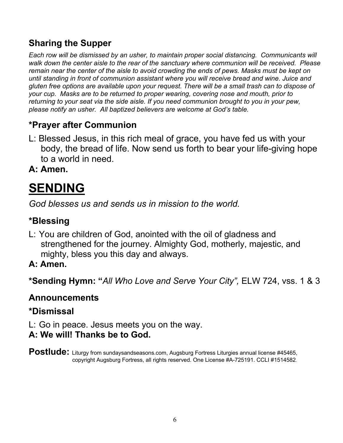# **Sharing the Supper**

*Each row will be dismissed by an usher, to maintain proper social distancing. Communicants will walk down the center aisle to the rear of the sanctuary where communion will be received. Please remain near the center of the aisle to avoid crowding the ends of pews. Masks must be kept on until standing in front of communion assistant where you will receive bread and wine. Juice and gluten free options are available upon your request. There will be a small trash can to dispose of your cup. Masks are to be returned to proper wearing, covering nose and mouth, prior to returning to your seat via the side aisle. If you need communion brought to you in your pew, please notify an usher. All baptized believers are welcome at God's table.* 

# **\*Prayer after Communion**

L: Blessed Jesus, in this rich meal of grace, you have fed us with your body, the bread of life. Now send us forth to bear your life-giving hope to a world in need.

**A: Amen.**

# **SENDING**

*God blesses us and sends us in mission to the world.*

# **\*Blessing**

L: You are children of God, anointed with the oil of gladness and strengthened for the journey. Almighty God, motherly, majestic, and mighty, bless you this day and always.

## **A: Amen.**

**\*Sending Hymn: "***All Who Love and Serve Your City",* ELW 724, vss. 1 & 3

## **Announcements**

## **\*Dismissal**

L: Go in peace. Jesus meets you on the way.

### **A: We will! Thanks be to God.**

Postlude: Liturgy from sundaysandseasons.com, Augsburg Fortress Liturgies annual license #45465, copyright Augsburg Fortress, all rights reserved. One License #A-725191. CCLI #1514582.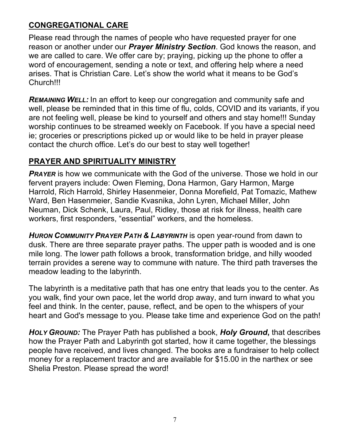#### **CONGREGATIONAL CARE**

Please read through the names of people who have requested prayer for one reason or another under our *Prayer Ministry Section*. God knows the reason, and we are called to care. We offer care by; praying, picking up the phone to offer a word of encouragement, sending a note or text, and offering help where a need arises. That is Christian Care. Let's show the world what it means to be God's Church!!!

*REMAINING WELL:* In an effort to keep our congregation and community safe and well, please be reminded that in this time of flu, colds, COVID and its variants, if you are not feeling well, please be kind to yourself and others and stay home!!! Sunday worship continues to be streamed weekly on Facebook. If you have a special need ie; groceries or prescriptions picked up or would like to be held in prayer please contact the church office. Let's do our best to stay well together!

#### **PRAYER AND SPIRITUALITY MINISTRY**

**PRAYER** is how we communicate with the God of the universe. Those we hold in our fervent prayers include: Owen Fleming, Dona Harmon, Gary Harmon, Marge Harrold, Rich Harrold, Shirley Hasenmeier, Donna Morefield, Pat Tomazic, Mathew Ward, Ben Hasenmeier, Sandie Kvasnika, John Lyren, Michael Miller, John Neuman, Dick Schenk, Laura, Paul, Ridley, those at risk for illness, health care workers, first responders, "essential" workers, and the homeless.

*HURON COMMUNITY PRAYER PATH & LABYRINTH* is open year-round from dawn to dusk. There are three separate prayer paths. The upper path is wooded and is one mile long. The lower path follows a brook, transformation bridge, and hilly wooded terrain provides a serene way to commune with nature. The third path traverses the meadow leading to the labyrinth.

The labyrinth is a meditative path that has one entry that leads you to the center. As you walk, find your own pace, let the world drop away, and turn inward to what you feel and think. In the center, pause, reflect, and be open to the whispers of your heart and God's message to you. Please take time and experience God on the path!

*HOLY GROUND:* The Prayer Path has published a book, *Holy Ground***,** that describes how the Prayer Path and Labyrinth got started, how it came together, the blessings people have received, and lives changed. The books are a fundraiser to help collect money for a replacement tractor and are available for \$15.00 in the narthex or see Shelia Preston. Please spread the word!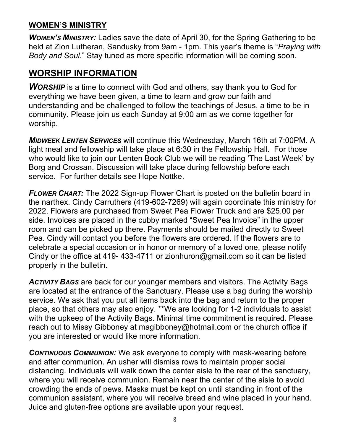#### **WOMEN'S MINISTRY**

*WOMEN'S MINISTRY:* Ladies save the date of April 30, for the Spring Gathering to be held at Zion Lutheran, Sandusky from 9am - 1pm. This year's theme is "*Praying with Body and Soul*." Stay tuned as more specific information will be coming soon.

#### **WORSHIP INFORMATION**

**WORSHIP** is a time to connect with God and others, say thank you to God for everything we have been given, a time to learn and grow our faith and understanding and be challenged to follow the teachings of Jesus, a time to be in community. Please join us each Sunday at 9:00 am as we come together for worship.

*MIDWEEK LENTEN SERVICES* will continue this Wednesday, March 16th at 7:00PM. A light meal and fellowship will take place at 6:30 in the Fellowship Hall. For those who would like to join our Lenten Book Club we will be reading 'The Last Week' by Borg and Crossan. Discussion will take place during fellowship before each service. For further details see Hope Nottke.

*FLOWER CHART:* The 2022 Sign-up Flower Chart is posted on the bulletin board in the narthex. Cindy Carruthers (419-602-7269) will again coordinate this ministry for 2022. Flowers are purchased from Sweet Pea Flower Truck and are \$25.00 per side. Invoices are placed in the cubby marked "Sweet Pea Invoice" in the upper room and can be picked up there. Payments should be mailed directly to Sweet Pea. Cindy will contact you before the flowers are ordered. If the flowers are to celebrate a special occasion or in honor or memory of a loved one, please notify Cindy or the office at 419- 433-4711 or zionhuron@gmail.com so it can be listed properly in the bulletin.

**ACTIVITY BAGS** are back for our younger members and visitors. The Activity Bags are located at the entrance of the Sanctuary. Please use a bag during the worship service. We ask that you put all items back into the bag and return to the proper place, so that others may also enjoy. \*\*We are looking for 1-2 individuals to assist with the upkeep of the Activity Bags. Minimal time commitment is required. Please reach out to Missy Gibboney at magibboney@hotmail.com or the church office if you are interested or would like more information.

*CONTINUOUS COMMUNION:* We ask everyone to comply with mask-wearing before and after communion. An usher will dismiss rows to maintain proper social distancing. Individuals will walk down the center aisle to the rear of the sanctuary, where you will receive communion. Remain near the center of the aisle to avoid crowding the ends of pews. Masks must be kept on until standing in front of the communion assistant, where you will receive bread and wine placed in your hand. Juice and gluten-free options are available upon your request.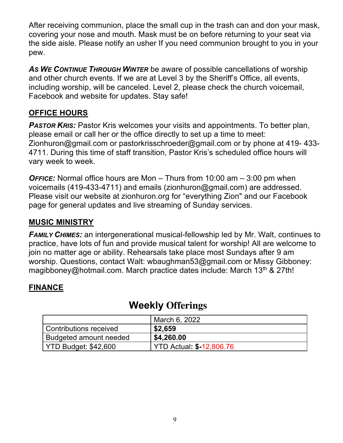After receiving communion, place the small cup in the trash can and don your mask, covering your nose and mouth. Mask must be on before returning to your seat via the side aisle. Please notify an usher If you need communion brought to you in your pew.

*AS WE CONTINUE THROUGH WINTER* be aware of possible cancellations of worship and other church events. If we are at Level 3 by the Sheriff's Office, all events, including worship, will be canceled. Level 2, please check the church voicemail, Facebook and website for updates. Stay safe!

#### **OFFICE HOURS**

**PASTOR KRIS:** Pastor Kris welcomes your visits and appointments. To better plan, please email or call her or the office directly to set up a time to meet: Zionhuron@gmail.com or pastorkrisschroeder@gmail.com or by phone at 419- 433- 4711. During this time of staff transition, Pastor Kris's scheduled office hours will vary week to week.

*OFFICE:* Normal office hours are Mon – Thurs from 10:00 am – 3:00 pm when voicemails (419-433-4711) and emails (zionhuron@gmail.com) are addressed. Please visit our website at zionhuron.org for "everything Zion" and our Facebook page for general updates and live streaming of Sunday services.

#### **MUSIC MINISTRY**

*FAMILY CHIMES:* an intergenerational musical-fellowship led by Mr. Walt, continues to practice, have lots of fun and provide musical talent for worship! All are welcome to join no matter age or ability. Rehearsals take place most Sundays after 9 am worship. Questions, contact Walt: wbaughman53@gmail.com or Missy Gibboney: magibboney@hotmail.com. March practice dates include: March  $13<sup>th</sup>$  & 27th!

#### **FINANCE**

|                             | March 6, 2022                   |
|-----------------------------|---------------------------------|
| Contributions received      | \$2,659                         |
| Budgeted amount needed      | \$4,260.00                      |
| <b>YTD Budget: \$42,600</b> | <b>YTD Actual: \$-12,806.76</b> |

### **Weekly Offerings**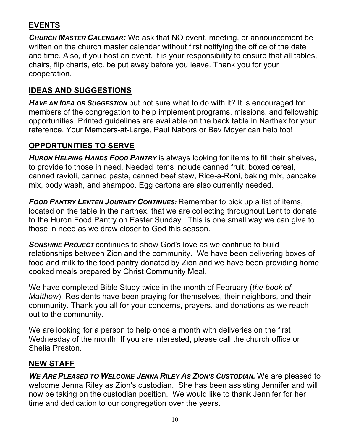#### **EVENTS**

*CHURCH MASTER CALENDAR:* We ask that NO event, meeting, or announcement be written on the church master calendar without first notifying the office of the date and time. Also, if you host an event, it is your responsibility to ensure that all tables, chairs, flip charts, etc. be put away before you leave. Thank you for your cooperation.

#### **IDEAS AND SUGGESTIONS**

*HAVE AN IDEA OR SUGGESTION* but not sure what to do with it? It is encouraged for members of the congregation to help implement programs, missions, and fellowship opportunities. Printed guidelines are available on the back table in Narthex for your reference. Your Members-at-Large, Paul Nabors or Bev Moyer can help too!

#### **OPPORTUNITIES TO SERVE**

*HURON HELPING HANDS FOOD PANTRY* is always looking for items to fill their shelves, to provide to those in need. Needed items include canned fruit, boxed cereal, canned ravioli, canned pasta, canned beef stew, Rice-a-Roni, baking mix, pancake mix, body wash, and shampoo. Egg cartons are also currently needed.

*FOOD PANTRY LENTEN JOURNEY CONTINUES:* Remember to pick up a list of items, located on the table in the narthex, that we are collecting throughout Lent to donate to the Huron Food Pantry on Easter Sunday. This is one small way we can give to those in need as we draw closer to God this season.

*SONSHINE PROJECT* continues to show God's love as we continue to build relationships between Zion and the community. We have been delivering boxes of food and milk to the food pantry donated by Zion and we have been providing home cooked meals prepared by Christ Community Meal.

We have completed Bible Study twice in the month of February (*the book of Matthew*). Residents have been praying for themselves, their neighbors, and their community. Thank you all for your concerns, prayers, and donations as we reach out to the community.

We are looking for a person to help once a month with deliveries on the first Wednesday of the month. If you are interested, please call the church office or Shelia Preston.

#### **NEW STAFF**

*WE ARE PLEASED TO WELCOME JENNA RILEY AS ZION'S CUSTODIAN.* We are pleased to welcome Jenna Riley as Zion's custodian. She has been assisting Jennifer and will now be taking on the custodian position. We would like to thank Jennifer for her time and dedication to our congregation over the years.